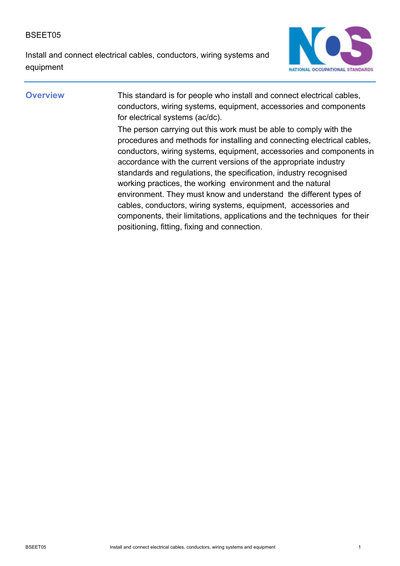Install and connect electrical cables, conductors, wiring systems and equipment



**Overview** This standard is for people who install and connect electrical cables, conductors, wiring systems, equipment, accessories and components for electrical systems (ac/dc).

> The person carrying out this work must be able to comply with the procedures and methods for installing and connecting electrical cables, conductors, wiring systems, equipment, accessories and components in accordance with the current versions of the appropriate industry standards and regulations, the specification, industry recognised working practices, the working environment and the natural environment. They must know and understand the different types of cables, conductors, wiring systems, equipment, accessories and components, their limitations, applications and the techniques for their positioning, fitting, fixing and connection.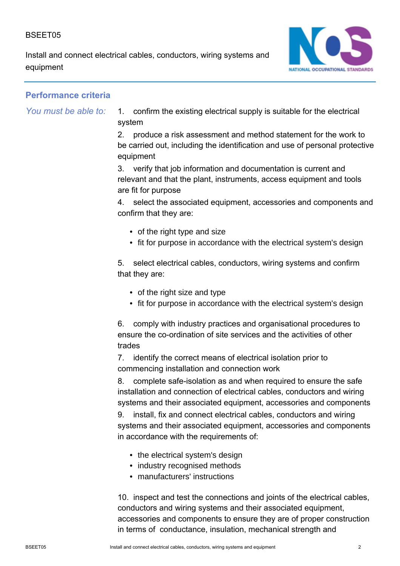Install and connect electrical cables, conductors, wiring systems and equipment



## **Performance criteria**

*You must be able to:*

1. confirm the existing electrical supply is suitable for the electrical system

2. produce a risk assessment and method statement for the work to be carried out, including the identification and use of personal protective equipment

3. verify that job information and documentation is current and relevant and that the plant, instruments, access equipment and tools are fit for purpose

4. select the associated equipment, accessories and components and confirm that they are:

- of the right type and size
- fit for purpose in accordance with the electrical system's design

5. select electrical cables, conductors, wiring systems and confirm that they are:

- of the right size and type
- fit for purpose in accordance with the electrical system's design

6. comply with industry practices and organisational procedures to ensure the co-ordination of site services and the activities of other trades

7. identify the correct means of electrical isolation prior to commencing installation and connection work

8. complete safe-isolation as and when required to ensure the safe installation and connection of electrical cables, conductors and wiring systems and their associated equipment, accessories and components

9. install, fix and connect electrical cables, conductors and wiring systems and their associated equipment, accessories and components in accordance with the requirements of:

- the electrical system's design
- industry recognised methods
- manufacturers' instructions

10. inspect and test the connections and joints of the electrical cables, conductors and wiring systems and their associated equipment, accessories and components to ensure they are of proper construction in terms of conductance, insulation, mechanical strength and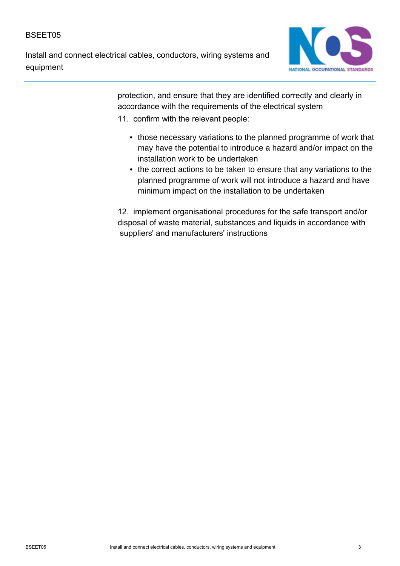Install and connect electrical cables, conductors, wiring systems and equipment



protection, and ensure that they are identified correctly and clearly in accordance with the requirements of the electrical system

- 11. confirm with the relevant people:
	- those necessary variations to the planned programme of work that may have the potential to introduce a hazard and/or impact on the installation work to be undertaken
	- the correct actions to be taken to ensure that any variations to the planned programme of work will not introduce a hazard and have minimum impact on the installation to be undertaken

12. implement organisational procedures for the safe transport and/or disposal of waste material, substances and liquids in accordance with suppliers' and manufacturers' instructions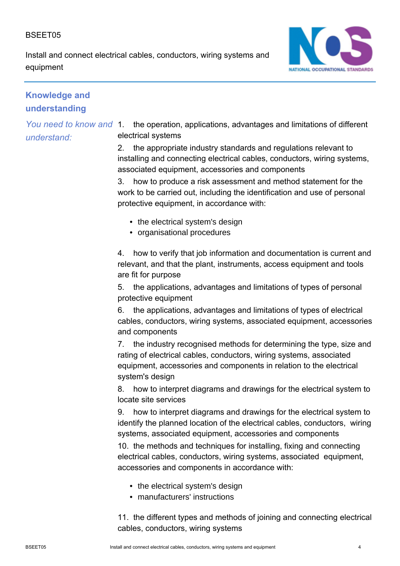Install and connect electrical cables, conductors, wiring systems and equipment



# **Knowledge and understanding**

## *You need to know and understand:*

1. the operation, applications, advantages and limitations of different electrical systems

2. the appropriate industry standards and regulations relevant to installing and connecting electrical cables, conductors, wiring systems, associated equipment, accessories and components

3. how to produce a risk assessment and method statement for the work to be carried out, including the identification and use of personal protective equipment, in accordance with:

- the electrical system's design
- organisational procedures

4. how to verify that job information and documentation is current and relevant, and that the plant, instruments, access equipment and tools are fit for purpose

5. the applications, advantages and limitations of types of personal protective equipment

6. the applications, advantages and limitations of types of electrical cables, conductors, wiring systems, associated equipment, accessories and components

7. the industry recognised methods for determining the type, size and rating of electrical cables, conductors, wiring systems, associated equipment, accessories and components in relation to the electrical system's design

8. how to interpret diagrams and drawings for the electrical system to locate site services

9. how to interpret diagrams and drawings for the electrical system to identify the planned location of the electrical cables, conductors, wiring systems, associated equipment, accessories and components

10. the methods and techniques for installing, fixing and connecting electrical cables, conductors, wiring systems, associated equipment, accessories and components in accordance with:

- the electrical system's design
- manufacturers' instructions

11. the different types and methods of joining and connecting electrical cables, conductors, wiring systems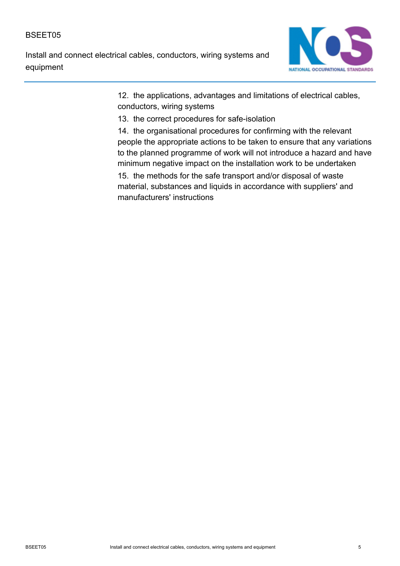Install and connect electrical cables, conductors, wiring systems and equipment



12. the applications, advantages and limitations of electrical cables, conductors, wiring systems

13. the correct procedures for safe-isolation

14. the organisational procedures for confirming with the relevant people the appropriate actions to be taken to ensure that any variations to the planned programme of work will not introduce a hazard and have minimum negative impact on the installation work to be undertaken 15. the methods for the safe transport and/or disposal of waste material, substances and liquids in accordance with suppliers' and manufacturers' instructions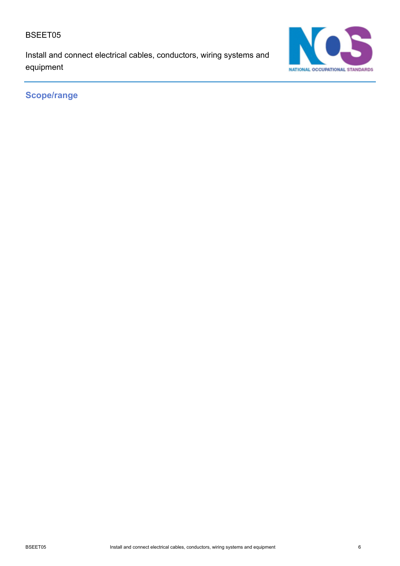Install and connect electrical cables, conductors, wiring systems and equipment



**Scope/range**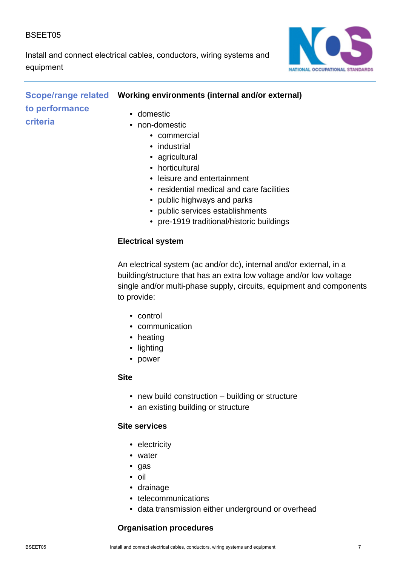Install and connect electrical cables, conductors, wiring systems and equipment



# **Scope/range related Vorking environments (internal and/or external) to performance criteria**

- domestic
	- non-domestic
		- commercial
		- industrial
		- agricultural
		- horticultural
		- leisure and entertainment
		- residential medical and care facilities
		- public highways and parks
		- public services establishments
		- pre-1919 traditional/historic buildings

#### **Electrical system**

An electrical system (ac and/or dc), internal and/or external, in a building/structure that has an extra low voltage and/or low voltage single and/or multi-phase supply, circuits, equipment and components to provide:

- control
- communication
- heating
- lighting
- power

#### **Site**

- new build construction building or structure
- an existing building or structure

#### **Site services**

- electricity
- water
- gas
- oil
- drainage
- telecommunications
- data transmission either underground or overhead

## **Organisation procedures**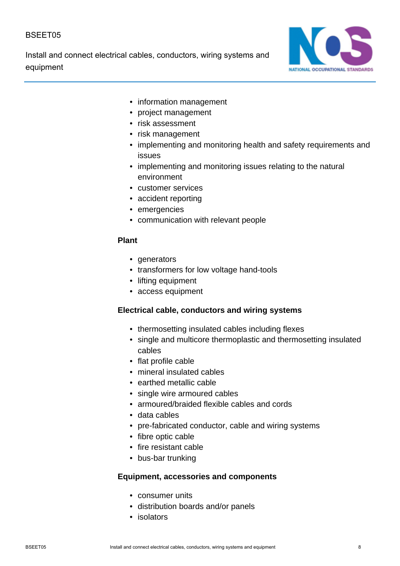Install and connect electrical cables, conductors, wiring systems and equipment



- information management
- project management
- risk assessment
- risk management
- implementing and monitoring health and safety requirements and issues
- implementing and monitoring issues relating to the natural environment
- customer services
- accident reporting
- emergencies
- communication with relevant people

#### **Plant**

- generators
- transformers for low voltage hand-tools
- lifting equipment
- access equipment

#### **Electrical cable, conductors and wiring systems**

- thermosetting insulated cables including flexes
- single and multicore thermoplastic and thermosetting insulated cables
- flat profile cable
- mineral insulated cables
- earthed metallic cable
- single wire armoured cables
- armoured/braided flexible cables and cords
- data cables
- pre-fabricated conductor, cable and wiring systems
- fibre optic cable
- fire resistant cable
- bus-bar trunking

#### **Equipment, accessories and components**

- consumer units
- distribution boards and/or panels
- isolators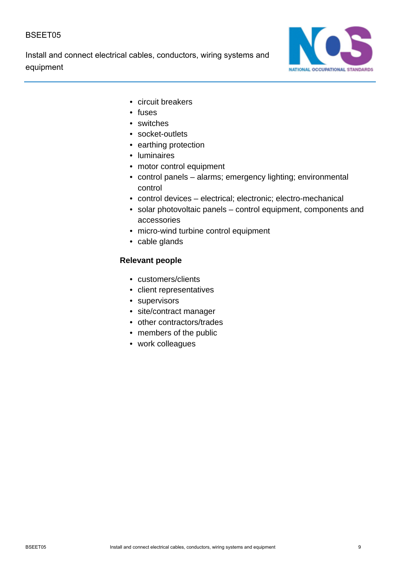Install and connect electrical cables, conductors, wiring systems and equipment



- circuit breakers
- fuses
- switches
- socket-outlets
- earthing protection
- luminaires
- motor control equipment
- control panels alarms; emergency lighting; environmental control
- control devices electrical; electronic; electro-mechanical
- solar photovoltaic panels control equipment, components and accessories
- micro-wind turbine control equipment
- cable glands

#### **Relevant people**

- customers/clients
- client representatives
- supervisors
- site/contract manager
- other contractors/trades
- members of the public
- work colleagues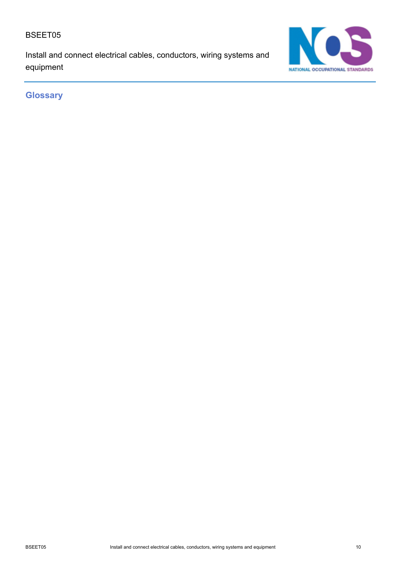Install and connect electrical cables, conductors, wiring systems and equipment



**Glossary**